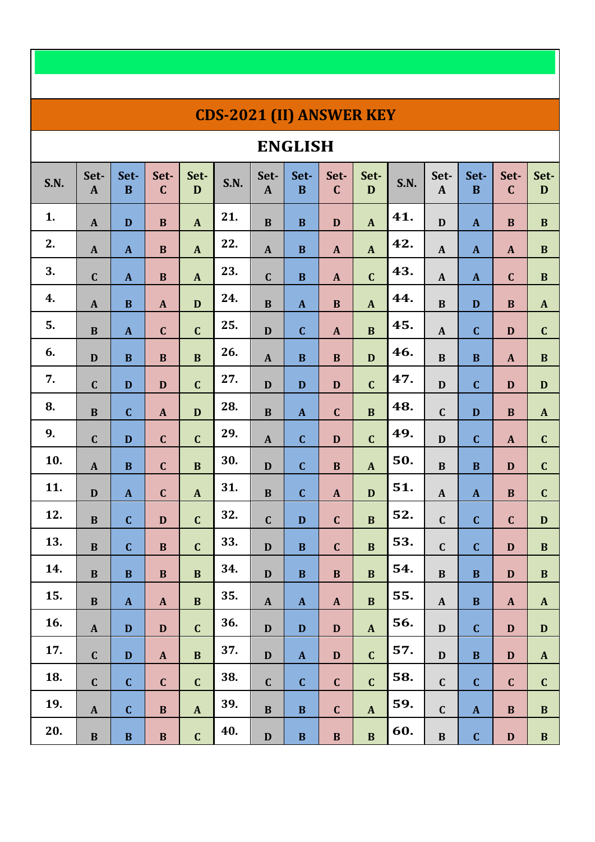## **CDS-2021 (II) ANSWER KEY**

## **ENGLISH**

| <b>S.N.</b> | Set-<br>$\mathbf{A}$ | Set-<br>$\mathbf{B}$      | Set-<br>$\mathbf C$       | Set-<br>$\mathbf D$       | <b>S.N.</b> | Set-<br>$\mathbf{A}$      | Set-<br>$\mathbf B$       | Set-<br>$\mathbf C$       | Set-<br>$\mathbf{D}$      | <b>S.N.</b> | Set-<br>$\mathbf{A}$      | Set-<br>$\bf{B}$ | Set-<br>$\mathbf C$ | Set-<br>D                 |
|-------------|----------------------|---------------------------|---------------------------|---------------------------|-------------|---------------------------|---------------------------|---------------------------|---------------------------|-------------|---------------------------|------------------|---------------------|---------------------------|
| 1.          | $\mathbf{A}$         | $\mathbf D$               | $\, {\bf B}$              | $\boldsymbol{\mathsf{A}}$ | 21.         | $\, {\bf B}$              | $\bf{B}$                  | $\mathbf D$               | $\pmb{A}$                 | 41.         | $\mathbf D$               | $\mathbf{A}$     | $\, {\bf B}$        | $\, {\bf B}$              |
| 2.          | $\mathbf{A}$         | $\mathbf{A}$              | $\, {\bf B}$              | $\boldsymbol{\mathrm{A}}$ | 22.         | $\boldsymbol{\mathsf{A}}$ | $\, {\bf B}$              | $\mathbf{A}$              | $\mathbf{A}$              | 42.         | $\mathbf{A}$              | $\mathbf{A}$     | $\mathbf{A}$        | $\, {\bf B}$              |
| 3.          | $\mathbf C$          | $\boldsymbol{\mathsf{A}}$ | $\bf{B}$                  | $\boldsymbol{\mathsf{A}}$ | 23.         | $\mathbf C$               | $\bf{B}$                  | $\boldsymbol{\mathsf{A}}$ | $\mathbf C$               | 43.         | $\mathbf{A}$              | $\mathbf{A}$     | $\mathbf C$         | $\bf{B}$                  |
| 4.          | $\mathbf{A}$         | $\, {\bf B}$              | $\mathbf{A}$              | $\mathbf D$               | 24.         | $\, {\bf B}$              | $\mathbf{A}$              | $\, {\bf B}$              | $\mathbf{A}$              | 44.         | $\, {\bf B}$              | $\mathbf D$      | $\, {\bf B}$        | $\mathbf{A}$              |
| 5.          | $\, {\bf B}$         | ${\bf A}$                 | $\mathbf C$               | $\mathbf C$               | 25.         | $\mathbf D$               | $\mathbf C$               | $\pmb{A}$                 | $\, {\bf B}$              | 45.         | $\mathbf{A}$              | $\mathbf C$      | $\mathbf D$         | $\mathbf C$               |
| 6.          | $\mathbf{D}$         | $\, {\bf B}$              | $\, {\bf B}$              | $\, {\bf B}$              | 26.         | $\boldsymbol{\mathsf{A}}$ | $\bf{B}$                  | $\, {\bf B}$              | $\mathbf D$               | 46.         | $\, {\bf B}$              | $\, {\bf B}$     | $\mathbf{A}$        | $\, {\bf B}$              |
| 7.          | $\mathbf C$          | $\mathbf D$               | $\mathbf D$               | $\mathbf C$               | 27.         | $\mathbf D$               | $\mathbf D$               | $\mathbf D$               | $\mathbf C$               | 47.         | $\mathbf D$               | $\mathbf C$      | $\mathbf D$         | $\mathbf D$               |
| 8.          | $\, {\bf B}$         | $\mathbf C$               | $\mathbf{A}$              | $\mathbf D$               | 28.         | $\, {\bf B}$              | $\mathbf{A}$              | $\mathbf C$               | $\, {\bf B}$              | 48.         | $\mathbf C$               | $\mathbf D$      | $\, {\bf B}$        | $\mathbf{A}$              |
| 9.          | $\mathbf C$          | $\mathbf D$               | $\mathbf C$               | $\mathbf C$               | 29.         | $\boldsymbol{\mathsf{A}}$ | $\mathbf C$               | D                         | $\mathbf C$               | 49.         | $\mathbf D$               | $\mathbf C$      | $\mathbf{A}$        | $\mathbf C$               |
| 10.         | $\mathbf{A}$         | $\, {\bf B}$              | $\mathbf{C}$              | $\bf{B}$                  | 30.         | $\mathbf D$               | $\mathbf C$               | $\, {\bf B}$              | $\boldsymbol{\mathsf{A}}$ | 50.         | $\bf{B}$                  | $\bf{B}$         | $\mathbf D$         | $\mathbf C$               |
| 11.         | $\mathbf D$          | ${\bf A}$                 | $\mathbf C$               | $\mathbf{A}$              | 31.         | $\, {\bf B}$              | $\mathbf C$               | $\pmb{A}$                 | D                         | 51.         | $\boldsymbol{\mathsf{A}}$ | $\mathbf{A}$     | $\bf{B}$            | $\mathbf C$               |
| 12.         | $\, {\bf B}$         | $\mathbf C$               | $\mathbf D$               | $\mathbf C$               | 32.         | $\mathbf C$               | $\mathbf D$               | $\mathbf C$               | $\, {\bf B}$              | 52.         | $\mathbf C$               | $\mathbf C$      | $\mathbf C$         | $\mathbf D$               |
| 13.         | $\bf{B}$             | $\mathbf C$               | $\bf{B}$                  | $\mathbf C$               | 33.         | $\mathbf D$               | $\bf{B}$                  | $\mathbf C$               | $\bf{B}$                  | 53.         | $\mathbf C$               | $\mathbf C$      | $\mathbf D$         | $\, {\bf B}$              |
| 14.         | $\bf{B}$             | $\bf{B}$                  | $\mathbf B$               | $\, {\bf B}$              | 34.         | $\mathbf D$               | $\bf{B}$                  | $\, {\bf B}$              | $\bf{B}$                  | 54.         | $\bf{B}$                  | $\bf{B}$         | $\mathbf D$         | $\, {\bf B}$              |
| 15.         | $\, {\bf B}$         | ${\bf A}$                 | $\mathbf{A}$              | $\, {\bf B}$              | 35.         | $\boldsymbol{\rm{A}}$     | $\mathbf{A}$              | $\boldsymbol{\mathsf{A}}$ | $\, {\bf B}$              | 55.         | $\mathbf{A}$              | $\, {\bf B}$     | $\mathbf{A}$        | $\mathbf{A}$              |
| 16.         | $\mathbf{A}$         | $\mathbf{D}$              | $\mathbf{D}$              | $\mathbf{C}$              | 36.         | $\mathbf{D}$              | $\mathbf D$               | $\mathbf{D}$              | $\boldsymbol{\mathsf{A}}$ | 56.         | $\mathbf D$               | $\mathbf{C}$     | $\mathbf D$         | D                         |
| 17.         | $\mathbf{C}$         | $\mathbf D$               | $\boldsymbol{\mathsf{A}}$ | $\bf{B}$                  | 37.         | $\mathbf D$               | $\boldsymbol{\mathrm{A}}$ | $\mathbf D$               | $\mathbf{C}$              | 57.         | $\mathbf{D}$              | $\bf{B}$         | $\mathbf D$         | $\boldsymbol{\mathrm{A}}$ |
| 18.         | $\mathbf C$          | $\mathbf{C}$              | $\mathbf C$               | $\mathbf C$               | 38.         | $\mathbf{C}$              | $\mathbf C$               | $\mathbf{C}$              | $\mathbf C$               | 58.         | $\mathbf C$               | $\mathbf{C}$     | $\mathbf C$         | $\mathbf C$               |
| 19.         | $\mathbf{A}$         | $\mathbf C$               | $\, {\bf B}$              | $\boldsymbol{\rm{A}}$     | 39.         | $\, {\bf B}$              | $\, {\bf B}$              | $\mathbf C$               | $\mathbf{A}$              | 59.         | $\mathbf C$               | $\mathbf{A}$     | $\, {\bf B}$        | $\, {\bf B}$              |
| 20.         | $\, {\bf B}$         | $\, {\bf B}$              | $\, {\bf B}$              | $\mathbf C$               | 40.         | $\mathbf D$               | $\, {\bf B}$              | $\, {\bf B}$              | $\mathbf B$               | 60.         | $\, {\bf B}$              | $\mathbf C$      | $\mathbf D$         | $\, {\bf B}$              |